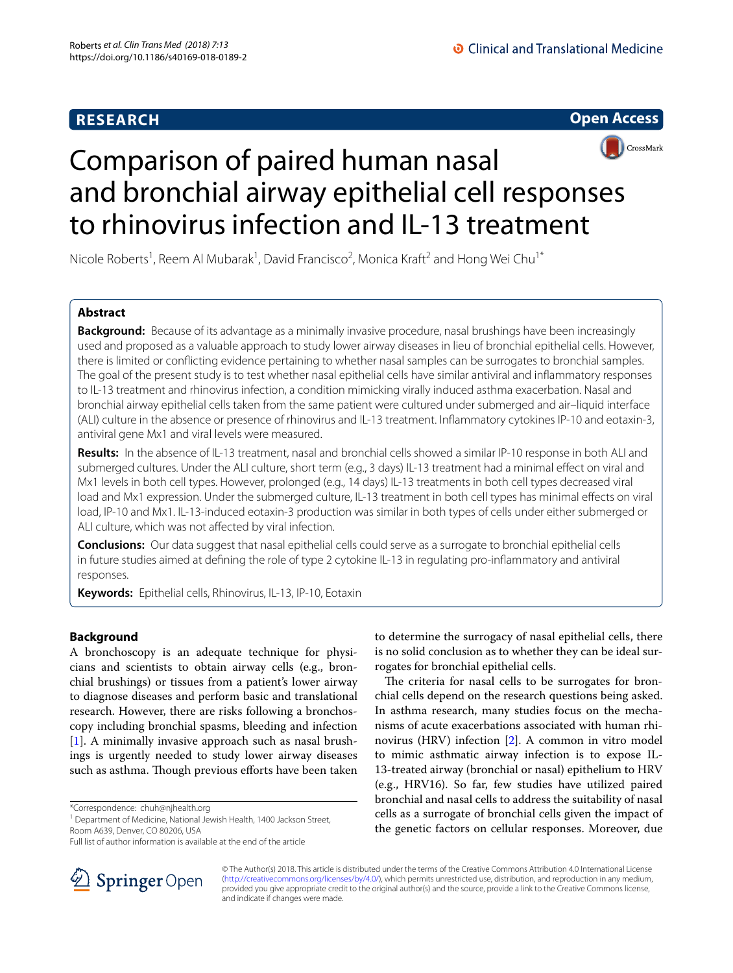# **RESEARCH**





# Comparison of paired human nasal and bronchial airway epithelial cell responses to rhinovirus infection and IL-13 treatment

Nicole Roberts<sup>1</sup>, Reem Al Mubarak<sup>1</sup>, David Francisco<sup>2</sup>, Monica Kraft<sup>2</sup> and Hong Wei Chu<sup>1\*</sup>

# **Abstract**

**Background:** Because of its advantage as a minimally invasive procedure, nasal brushings have been increasingly used and proposed as a valuable approach to study lower airway diseases in lieu of bronchial epithelial cells. However, there is limited or conficting evidence pertaining to whether nasal samples can be surrogates to bronchial samples. The goal of the present study is to test whether nasal epithelial cells have similar antiviral and infammatory responses to IL-13 treatment and rhinovirus infection, a condition mimicking virally induced asthma exacerbation. Nasal and bronchial airway epithelial cells taken from the same patient were cultured under submerged and air–liquid interface (ALI) culture in the absence or presence of rhinovirus and IL-13 treatment. Infammatory cytokines IP-10 and eotaxin-3, antiviral gene Mx1 and viral levels were measured.

**Results:** In the absence of IL-13 treatment, nasal and bronchial cells showed a similar IP-10 response in both ALI and submerged cultures. Under the ALI culture, short term (e.g., 3 days) IL-13 treatment had a minimal efect on viral and Mx1 levels in both cell types. However, prolonged (e.g., 14 days) IL-13 treatments in both cell types decreased viral load and Mx1 expression. Under the submerged culture, IL-13 treatment in both cell types has minimal effects on viral load, IP-10 and Mx1. IL-13-induced eotaxin-3 production was similar in both types of cells under either submerged or ALI culture, which was not afected by viral infection.

**Conclusions:** Our data suggest that nasal epithelial cells could serve as a surrogate to bronchial epithelial cells in future studies aimed at defning the role of type 2 cytokine IL-13 in regulating pro-infammatory and antiviral responses.

**Keywords:** Epithelial cells, Rhinovirus, IL-13, IP-10, Eotaxin

# **Background**

A bronchoscopy is an adequate technique for physicians and scientists to obtain airway cells (e.g., bronchial brushings) or tissues from a patient's lower airway to diagnose diseases and perform basic and translational research. However, there are risks following a bronchoscopy including bronchial spasms, bleeding and infection [[1\]](#page-8-0). A minimally invasive approach such as nasal brushings is urgently needed to study lower airway diseases such as asthma. Though previous efforts have been taken

\*Correspondence: chuh@njhealth.org

<sup>1</sup> Department of Medicine, National Jewish Health, 1400 Jackson Street, Room A639, Denver, CO 80206, USA

to determine the surrogacy of nasal epithelial cells, there is no solid conclusion as to whether they can be ideal surrogates for bronchial epithelial cells.

The criteria for nasal cells to be surrogates for bronchial cells depend on the research questions being asked. In asthma research, many studies focus on the mechanisms of acute exacerbations associated with human rhinovirus (HRV) infection [\[2](#page-8-1)]. A common in vitro model to mimic asthmatic airway infection is to expose IL-13-treated airway (bronchial or nasal) epithelium to HRV (e.g., HRV16). So far, few studies have utilized paired bronchial and nasal cells to address the suitability of nasal cells as a surrogate of bronchial cells given the impact of the genetic factors on cellular responses. Moreover, due



© The Author(s) 2018. This article is distributed under the terms of the Creative Commons Attribution 4.0 International License [\(http://creativecommons.org/licenses/by/4.0/\)](http://creativecommons.org/licenses/by/4.0/), which permits unrestricted use, distribution, and reproduction in any medium, provided you give appropriate credit to the original author(s) and the source, provide a link to the Creative Commons license, and indicate if changes were made.

Full list of author information is available at the end of the article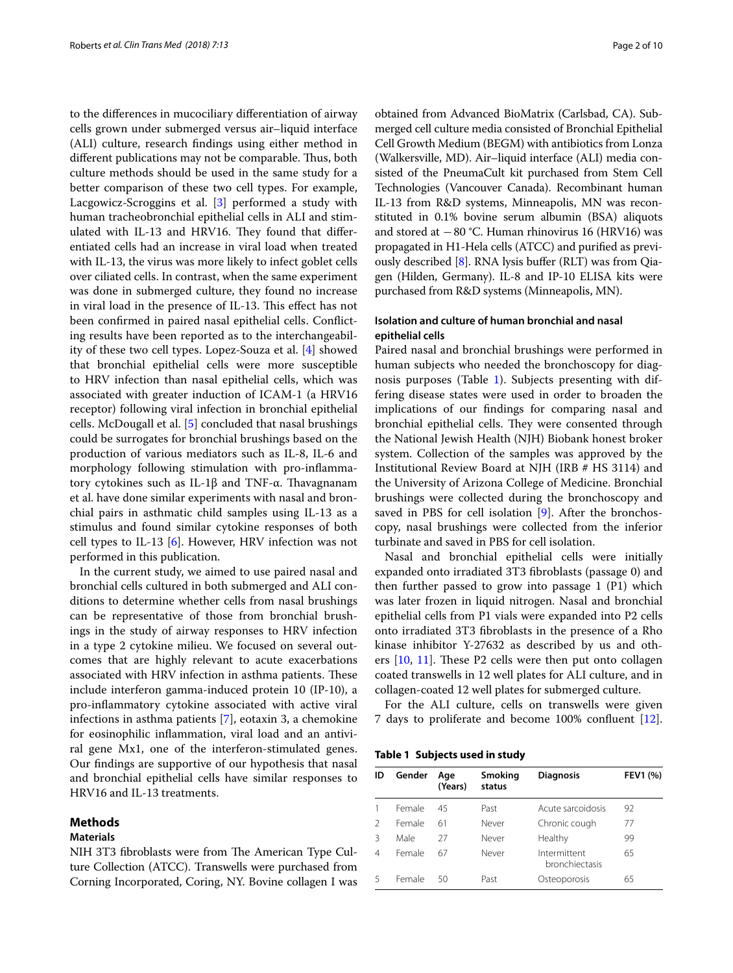to the diferences in mucociliary diferentiation of airway cells grown under submerged versus air–liquid interface (ALI) culture, research fndings using either method in different publications may not be comparable. Thus, both culture methods should be used in the same study for a better comparison of these two cell types. For example, Lacgowicz-Scroggins et al. [\[3](#page-8-2)] performed a study with human tracheobronchial epithelial cells in ALI and stimulated with IL-13 and HRV16. They found that differentiated cells had an increase in viral load when treated with IL-13, the virus was more likely to infect goblet cells over ciliated cells. In contrast, when the same experiment was done in submerged culture, they found no increase in viral load in the presence of IL-13. This effect has not been confrmed in paired nasal epithelial cells. Conficting results have been reported as to the interchangeability of these two cell types. Lopez-Souza et al. [\[4](#page-8-3)] showed that bronchial epithelial cells were more susceptible to HRV infection than nasal epithelial cells, which was associated with greater induction of ICAM-1 (a HRV16 receptor) following viral infection in bronchial epithelial cells. McDougall et al. [[5\]](#page-8-4) concluded that nasal brushings could be surrogates for bronchial brushings based on the production of various mediators such as IL-8, IL-6 and morphology following stimulation with pro-infammatory cytokines such as IL-1β and TNF- $\alpha$ . Thavagnanam et al. have done similar experiments with nasal and bronchial pairs in asthmatic child samples using IL-13 as a stimulus and found similar cytokine responses of both cell types to IL-13 [\[6](#page-8-5)]. However, HRV infection was not performed in this publication.

In the current study, we aimed to use paired nasal and bronchial cells cultured in both submerged and ALI conditions to determine whether cells from nasal brushings can be representative of those from bronchial brushings in the study of airway responses to HRV infection in a type 2 cytokine milieu. We focused on several outcomes that are highly relevant to acute exacerbations associated with HRV infection in asthma patients. These include interferon gamma-induced protein 10 (IP-10), a pro-infammatory cytokine associated with active viral infections in asthma patients [[7\]](#page-8-6), eotaxin 3, a chemokine for eosinophilic infammation, viral load and an antiviral gene Mx1, one of the interferon-stimulated genes. Our fndings are supportive of our hypothesis that nasal and bronchial epithelial cells have similar responses to HRV16 and IL-13 treatments.

## **Methods**

# **Materials**

NIH 3T3 fibroblasts were from The American Type Culture Collection (ATCC). Transwells were purchased from Corning Incorporated, Coring, NY. Bovine collagen I was obtained from Advanced BioMatrix (Carlsbad, CA). Submerged cell culture media consisted of Bronchial Epithelial Cell Growth Medium (BEGM) with antibiotics from Lonza (Walkersville, MD). Air–liquid interface (ALI) media consisted of the PneumaCult kit purchased from Stem Cell Technologies (Vancouver Canada). Recombinant human IL-13 from R&D systems, Minneapolis, MN was reconstituted in 0.1% bovine serum albumin (BSA) aliquots and stored at −80 °C. Human rhinovirus 16 (HRV16) was propagated in H1-Hela cells (ATCC) and purifed as previously described  $[8]$  $[8]$ . RNA lysis buffer (RLT) was from Qiagen (Hilden, Germany). IL-8 and IP-10 ELISA kits were purchased from R&D systems (Minneapolis, MN).

# **Isolation and culture of human bronchial and nasal epithelial cells**

Paired nasal and bronchial brushings were performed in human subjects who needed the bronchoscopy for diagnosis purposes (Table [1](#page-1-0)). Subjects presenting with differing disease states were used in order to broaden the implications of our fndings for comparing nasal and bronchial epithelial cells. They were consented through the National Jewish Health (NJH) Biobank honest broker system. Collection of the samples was approved by the Institutional Review Board at NJH (IRB # HS 3114) and the University of Arizona College of Medicine. Bronchial brushings were collected during the bronchoscopy and saved in PBS for cell isolation [[9\]](#page-8-8). After the bronchoscopy, nasal brushings were collected from the inferior turbinate and saved in PBS for cell isolation.

Nasal and bronchial epithelial cells were initially expanded onto irradiated 3T3 fbroblasts (passage 0) and then further passed to grow into passage 1 (P1) which was later frozen in liquid nitrogen. Nasal and bronchial epithelial cells from P1 vials were expanded into P2 cells onto irradiated 3T3 fbroblasts in the presence of a Rho kinase inhibitor Y-27632 as described by us and others  $[10, 11]$  $[10, 11]$  $[10, 11]$ . These P2 cells were then put onto collagen coated transwells in 12 well plates for ALI culture, and in collagen-coated 12 well plates for submerged culture.

For the ALI culture, cells on transwells were given 7 days to proliferate and become 100% confuent [\[12](#page-8-11)].

<span id="page-1-0"></span>**Table 1 Subjects used in study**

| ID            | Gender | Age<br>(Years) | Smoking<br>status | <b>Diagnosis</b>               | <b>FEV1 (%)</b> |
|---------------|--------|----------------|-------------------|--------------------------------|-----------------|
|               | Female | 45             | Past              | Acute sarcoidosis              | 92              |
| $\mathcal{P}$ | Female | 61             | Never             | Chronic cough                  | 77              |
| 3             | Male   | 27             | Never             | Healthy                        | 99              |
| 4             | Female | 67             | Never             | Intermittent<br>bronchiectasis | 65              |
| 5             | Female | 50             | Past              | Osteoporosis                   | 65              |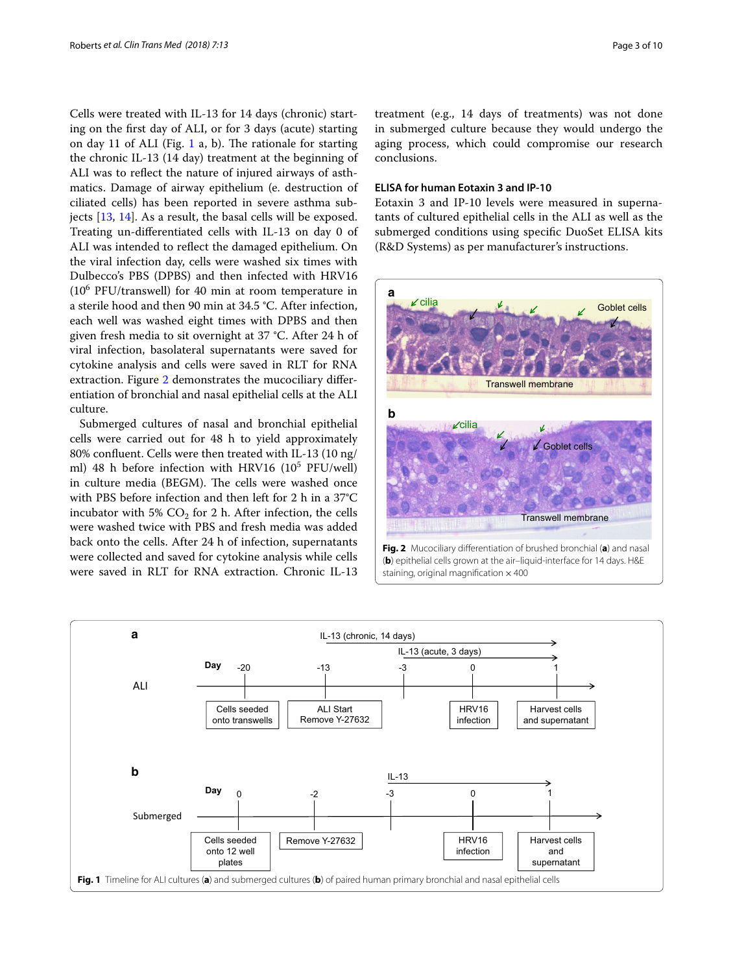Cells were treated with IL-13 for 14 days (chronic) starting on the frst day of ALI, or for 3 days (acute) starting on day [1](#page-2-0)1 of ALI (Fig. 1 a, b). The rationale for starting the chronic IL-13 (14 day) treatment at the beginning of ALI was to refect the nature of injured airways of asthmatics. Damage of airway epithelium (e. destruction of ciliated cells) has been reported in severe asthma subjects [[13](#page-8-12), [14](#page-8-13)]. As a result, the basal cells will be exposed. Treating un-diferentiated cells with IL-13 on day 0 of ALI was intended to refect the damaged epithelium. On the viral infection day, cells were washed six times with Dulbecco's PBS (DPBS) and then infected with HRV16  $(10<sup>6</sup> PFU/transwell)$  for 40 min at room temperature in a sterile hood and then 90 min at 34.5 °C. After infection, each well was washed eight times with DPBS and then given fresh media to sit overnight at 37 °C. After 24 h of viral infection, basolateral supernatants were saved for cytokine analysis and cells were saved in RLT for RNA extraction. Figure [2](#page-2-1) demonstrates the mucociliary diferentiation of bronchial and nasal epithelial cells at the ALI culture.

Submerged cultures of nasal and bronchial epithelial cells were carried out for 48 h to yield approximately 80% confuent. Cells were then treated with IL-13 (10 ng/ ml) 48 h before infection with HRV16 (10<sup>5</sup> PFU/well) in culture media (BEGM). The cells were washed once with PBS before infection and then left for 2 h in a 37°C incubator with 5%  $CO<sub>2</sub>$  for 2 h. After infection, the cells were washed twice with PBS and fresh media was added back onto the cells. After 24 h of infection, supernatants were collected and saved for cytokine analysis while cells were saved in RLT for RNA extraction. Chronic IL-13

treatment (e.g., 14 days of treatments) was not done in submerged culture because they would undergo the aging process, which could compromise our research conclusions.

## **ELISA for human Eotaxin 3 and IP‑10**

Eotaxin 3 and IP-10 levels were measured in supernatants of cultured epithelial cells in the ALI as well as the submerged conditions using specifc DuoSet ELISA kits (R&D Systems) as per manufacturer's instructions.



<span id="page-2-1"></span>(**b**) epithelial cells grown at the air–liquid-interface for 14 days. H&E staining, original magnification  $\times$  400

<span id="page-2-0"></span>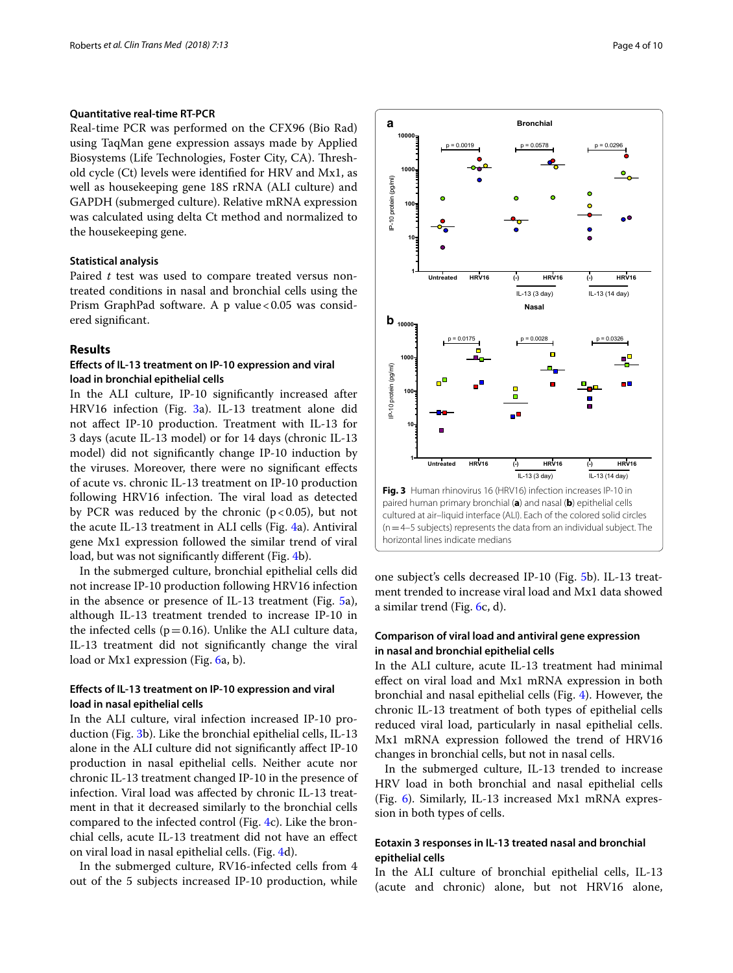## **Quantitative real‑time RT‑PCR**

Real-time PCR was performed on the CFX96 (Bio Rad) using TaqMan gene expression assays made by Applied Biosystems (Life Technologies, Foster City, CA). Threshold cycle (Ct) levels were identifed for HRV and Mx1, as well as housekeeping gene 18S rRNA (ALI culture) and GAPDH (submerged culture). Relative mRNA expression was calculated using delta Ct method and normalized to the housekeeping gene.

## **Statistical analysis**

Paired *t* test was used to compare treated versus nontreated conditions in nasal and bronchial cells using the Prism GraphPad software. A p value < 0.05 was considered signifcant.

# **Results**

# **Efects of IL‑13 treatment on IP‑10 expression and viral load in bronchial epithelial cells**

In the ALI culture, IP-10 signifcantly increased after HRV16 infection (Fig. [3a](#page-3-0)). IL-13 treatment alone did not afect IP-10 production. Treatment with IL-13 for 3 days (acute IL-13 model) or for 14 days (chronic IL-13 model) did not signifcantly change IP-10 induction by the viruses. Moreover, there were no signifcant efects of acute vs. chronic IL-13 treatment on IP-10 production following HRV16 infection. The viral load as detected by PCR was reduced by the chronic ( $p < 0.05$ ), but not the acute IL-13 treatment in ALI cells (Fig. [4a](#page-4-0)). Antiviral gene Mx1 expression followed the similar trend of viral load, but was not significantly different (Fig. [4b](#page-4-0)).

In the submerged culture, bronchial epithelial cells did not increase IP-10 production following HRV16 infection in the absence or presence of IL-13 treatment (Fig. [5a](#page-5-0)), although IL-13 treatment trended to increase IP-10 in the infected cells ( $p=0.16$ ). Unlike the ALI culture data, IL-13 treatment did not signifcantly change the viral load or Mx1 expression (Fig. [6a](#page-6-0), b).

# **Efects of IL‑13 treatment on IP‑10 expression and viral load in nasal epithelial cells**

In the ALI culture, viral infection increased IP-10 production (Fig. [3](#page-3-0)b). Like the bronchial epithelial cells, IL-13 alone in the ALI culture did not signifcantly afect IP-10 production in nasal epithelial cells. Neither acute nor chronic IL-13 treatment changed IP-10 in the presence of infection. Viral load was afected by chronic IL-13 treatment in that it decreased similarly to the bronchial cells compared to the infected control (Fig. [4c](#page-4-0)). Like the bronchial cells, acute IL-13 treatment did not have an efect on viral load in nasal epithelial cells. (Fig. [4d](#page-4-0)).

In the submerged culture, RV16-infected cells from 4 out of the 5 subjects increased IP-10 production, while



<span id="page-3-0"></span>one subject's cells decreased IP-10 (Fig. [5b](#page-5-0)). IL-13 treatment trended to increase viral load and Mx1 data showed a similar trend (Fig. [6c](#page-6-0), d).

# **Comparison of viral load and antiviral gene expression in nasal and bronchial epithelial cells**

In the ALI culture, acute IL-13 treatment had minimal efect on viral load and Mx1 mRNA expression in both bronchial and nasal epithelial cells (Fig. [4\)](#page-4-0). However, the chronic IL-13 treatment of both types of epithelial cells reduced viral load, particularly in nasal epithelial cells. Mx1 mRNA expression followed the trend of HRV16 changes in bronchial cells, but not in nasal cells.

In the submerged culture, IL-13 trended to increase HRV load in both bronchial and nasal epithelial cells (Fig. [6\)](#page-6-0). Similarly, IL-13 increased Mx1 mRNA expression in both types of cells.

# **Eotaxin 3 responses in IL‑13 treated nasal and bronchial epithelial cells**

In the ALI culture of bronchial epithelial cells, IL-13 (acute and chronic) alone, but not HRV16 alone,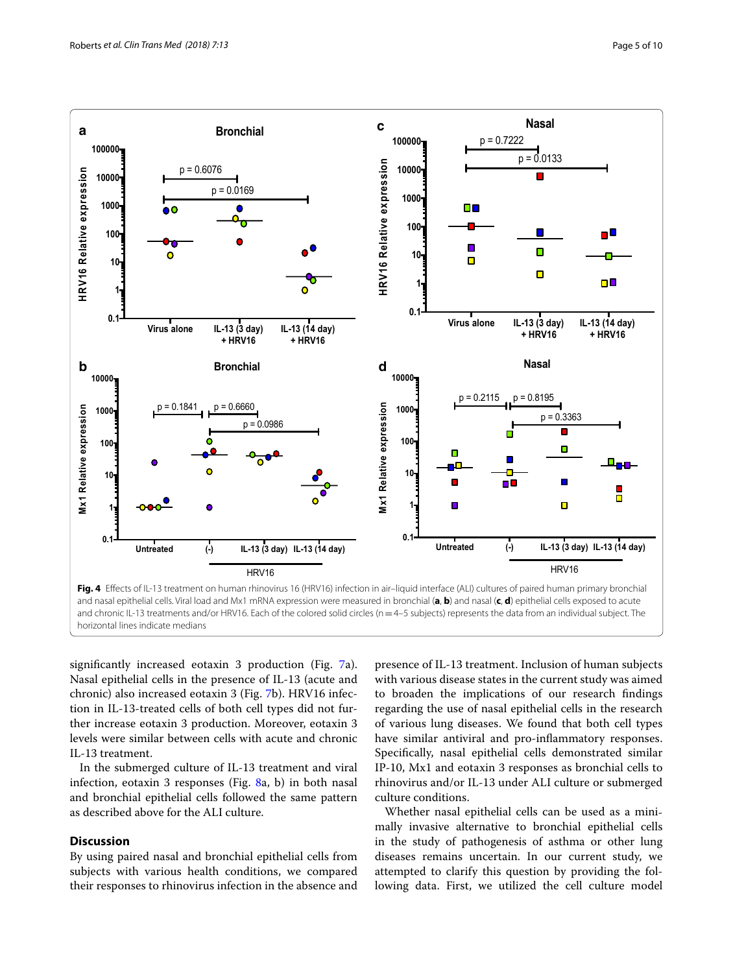

<span id="page-4-0"></span>**Fig. 4** Efects of IL-13 treatment on human rhinovirus 16 (HRV16) infection in air–liquid interface (ALI) cultures of paired human primary bronchial and nasal epithelial cells. Viral load and Mx1 mRNA expression were measured in bronchial (**a**, **b**) and nasal (**c**, **d**) epithelial cells exposed to acute and chronic IL-13 treatments and/or HRV16. Each of the colored solid circles (n=4–5 subjects) represents the data from an individual subject. The horizontal lines indicate medians

signifcantly increased eotaxin 3 production (Fig. [7a](#page-7-0)). Nasal epithelial cells in the presence of IL-13 (acute and chronic) also increased eotaxin 3 (Fig. [7b](#page-7-0)). HRV16 infection in IL-13-treated cells of both cell types did not further increase eotaxin 3 production. Moreover, eotaxin 3 levels were similar between cells with acute and chronic IL-13 treatment.

In the submerged culture of IL-13 treatment and viral infection, eotaxin 3 responses (Fig. [8a](#page-7-1), b) in both nasal and bronchial epithelial cells followed the same pattern as described above for the ALI culture.

# **Discussion**

By using paired nasal and bronchial epithelial cells from subjects with various health conditions, we compared their responses to rhinovirus infection in the absence and

presence of IL-13 treatment. Inclusion of human subjects with various disease states in the current study was aimed to broaden the implications of our research fndings regarding the use of nasal epithelial cells in the research of various lung diseases. We found that both cell types have similar antiviral and pro-infammatory responses. Specifcally, nasal epithelial cells demonstrated similar IP-10, Mx1 and eotaxin 3 responses as bronchial cells to rhinovirus and/or IL-13 under ALI culture or submerged culture conditions.

Whether nasal epithelial cells can be used as a minimally invasive alternative to bronchial epithelial cells in the study of pathogenesis of asthma or other lung diseases remains uncertain. In our current study, we attempted to clarify this question by providing the following data. First, we utilized the cell culture model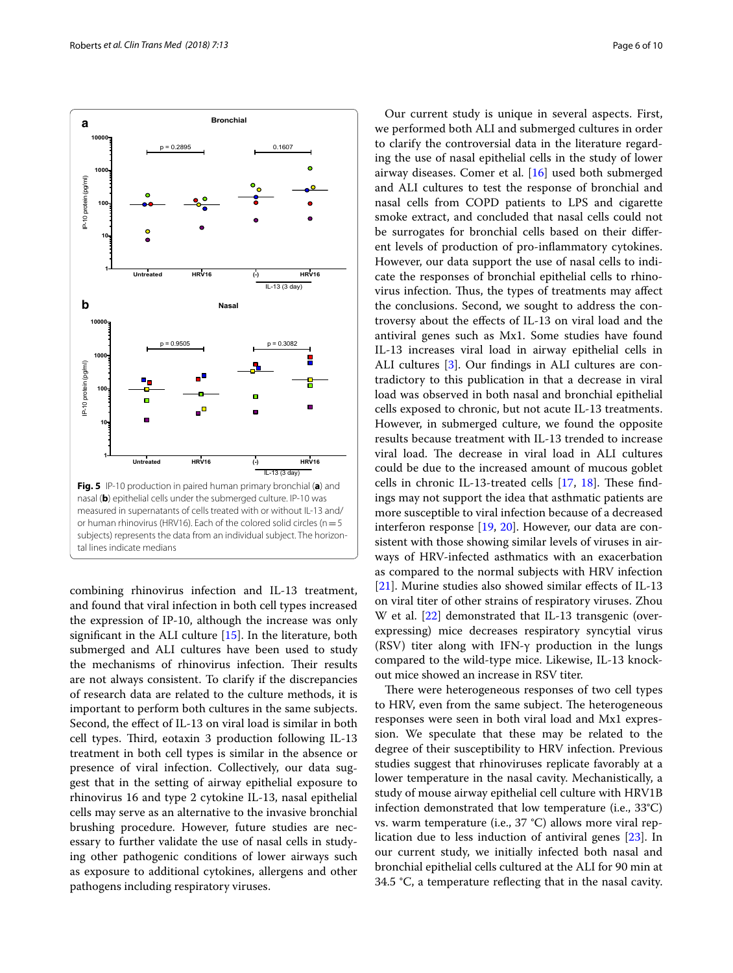

<span id="page-5-0"></span>combining rhinovirus infection and IL-13 treatment, and found that viral infection in both cell types increased the expression of IP-10, although the increase was only signifcant in the ALI culture [[15\]](#page-8-14). In the literature, both submerged and ALI cultures have been used to study the mechanisms of rhinovirus infection. Their results are not always consistent. To clarify if the discrepancies of research data are related to the culture methods, it is important to perform both cultures in the same subjects. Second, the efect of IL-13 on viral load is similar in both cell types. Third, eotaxin 3 production following IL-13 treatment in both cell types is similar in the absence or presence of viral infection. Collectively, our data suggest that in the setting of airway epithelial exposure to rhinovirus 16 and type 2 cytokine IL-13, nasal epithelial cells may serve as an alternative to the invasive bronchial brushing procedure. However, future studies are necessary to further validate the use of nasal cells in studying other pathogenic conditions of lower airways such as exposure to additional cytokines, allergens and other pathogens including respiratory viruses.

Our current study is unique in several aspects. First, we performed both ALI and submerged cultures in order to clarify the controversial data in the literature regarding the use of nasal epithelial cells in the study of lower airway diseases. Comer et al. [\[16](#page-8-15)] used both submerged and ALI cultures to test the response of bronchial and nasal cells from COPD patients to LPS and cigarette smoke extract, and concluded that nasal cells could not be surrogates for bronchial cells based on their diferent levels of production of pro-infammatory cytokines. However, our data support the use of nasal cells to indicate the responses of bronchial epithelial cells to rhinovirus infection. Thus, the types of treatments may affect the conclusions. Second, we sought to address the controversy about the efects of IL-13 on viral load and the antiviral genes such as Mx1. Some studies have found IL-13 increases viral load in airway epithelial cells in ALI cultures [\[3](#page-8-2)]. Our fndings in ALI cultures are contradictory to this publication in that a decrease in viral load was observed in both nasal and bronchial epithelial cells exposed to chronic, but not acute IL-13 treatments. However, in submerged culture, we found the opposite results because treatment with IL-13 trended to increase viral load. The decrease in viral load in ALI cultures could be due to the increased amount of mucous goblet cells in chronic IL-13-treated cells  $[17, 18]$  $[17, 18]$  $[17, 18]$  $[17, 18]$ . These findings may not support the idea that asthmatic patients are more susceptible to viral infection because of a decreased interferon response [\[19](#page-8-18), [20](#page-8-19)]. However, our data are consistent with those showing similar levels of viruses in airways of HRV-infected asthmatics with an exacerbation as compared to the normal subjects with HRV infection [[21\]](#page-8-20). Murine studies also showed similar effects of IL-13 on viral titer of other strains of respiratory viruses. Zhou W et al. [[22\]](#page-8-21) demonstrated that IL-13 transgenic (overexpressing) mice decreases respiratory syncytial virus (RSV) titer along with IFN-γ production in the lungs compared to the wild-type mice. Likewise, IL-13 knockout mice showed an increase in RSV titer.

There were heterogeneous responses of two cell types to HRV, even from the same subject. The heterogeneous responses were seen in both viral load and Mx1 expression. We speculate that these may be related to the degree of their susceptibility to HRV infection. Previous studies suggest that rhinoviruses replicate favorably at a lower temperature in the nasal cavity. Mechanistically, a study of mouse airway epithelial cell culture with HRV1B infection demonstrated that low temperature (i.e., 33°C) vs. warm temperature (i.e., 37 °C) allows more viral replication due to less induction of antiviral genes [[23\]](#page-8-22). In our current study, we initially infected both nasal and bronchial epithelial cells cultured at the ALI for 90 min at 34.5 °C, a temperature refecting that in the nasal cavity.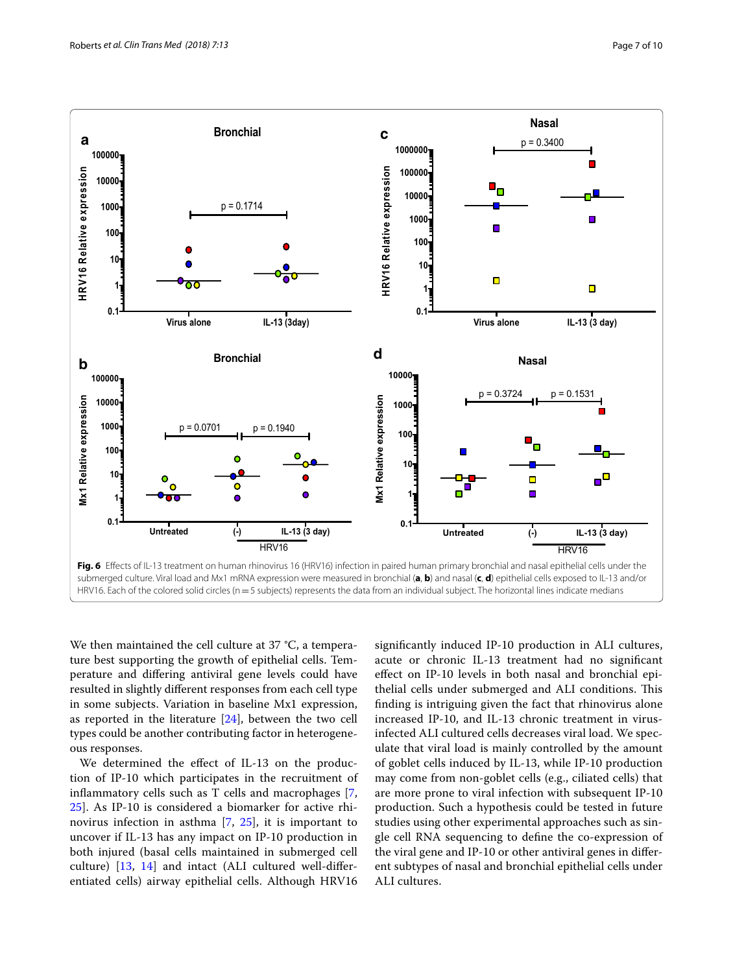

<span id="page-6-0"></span>We then maintained the cell culture at 37 °C, a temperature best supporting the growth of epithelial cells. Temperature and difering antiviral gene levels could have resulted in slightly diferent responses from each cell type in some subjects. Variation in baseline Mx1 expression, as reported in the literature [[24](#page-8-23)], between the two cell types could be another contributing factor in heterogeneous responses.

We determined the effect of IL-13 on the production of IP-10 which participates in the recruitment of infammatory cells such as T cells and macrophages [\[7](#page-8-6), [25\]](#page-8-24). As IP-10 is considered a biomarker for active rhinovirus infection in asthma [\[7](#page-8-6), [25\]](#page-8-24), it is important to uncover if IL-13 has any impact on IP-10 production in both injured (basal cells maintained in submerged cell culture) [\[13](#page-8-12), [14](#page-8-13)] and intact (ALI cultured well-diferentiated cells) airway epithelial cells. Although HRV16 signifcantly induced IP-10 production in ALI cultures, acute or chronic IL-13 treatment had no signifcant efect on IP-10 levels in both nasal and bronchial epithelial cells under submerged and ALI conditions. This fnding is intriguing given the fact that rhinovirus alone increased IP-10, and IL-13 chronic treatment in virusinfected ALI cultured cells decreases viral load. We speculate that viral load is mainly controlled by the amount of goblet cells induced by IL-13, while IP-10 production may come from non-goblet cells (e.g., ciliated cells) that are more prone to viral infection with subsequent IP-10 production. Such a hypothesis could be tested in future studies using other experimental approaches such as single cell RNA sequencing to defne the co-expression of the viral gene and IP-10 or other antiviral genes in diferent subtypes of nasal and bronchial epithelial cells under ALI cultures.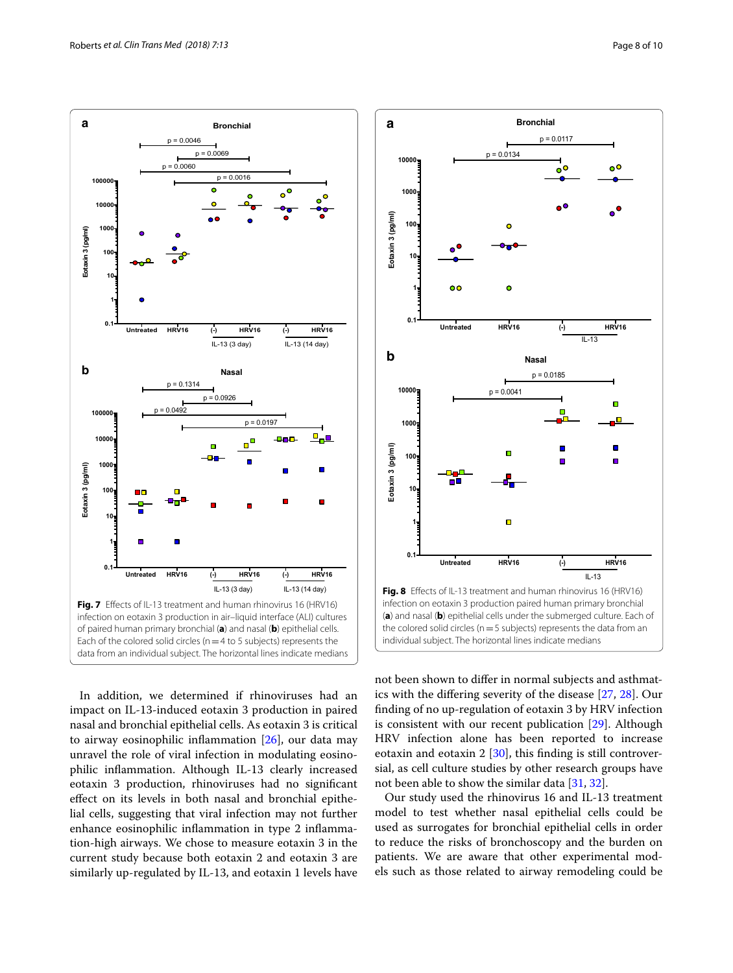

<span id="page-7-0"></span>In addition, we determined if rhinoviruses had an impact on IL-13-induced eotaxin 3 production in paired nasal and bronchial epithelial cells. As eotaxin 3 is critical to airway eosinophilic infammation [\[26](#page-8-25)], our data may unravel the role of viral infection in modulating eosinophilic infammation. Although IL-13 clearly increased eotaxin 3 production, rhinoviruses had no signifcant efect on its levels in both nasal and bronchial epithelial cells, suggesting that viral infection may not further enhance eosinophilic infammation in type 2 infammation-high airways. We chose to measure eotaxin 3 in the current study because both eotaxin 2 and eotaxin 3 are similarly up-regulated by IL-13, and eotaxin 1 levels have



<span id="page-7-1"></span>not been shown to difer in normal subjects and asthmatics with the difering severity of the disease [[27,](#page-8-26) [28\]](#page-9-0). Our fnding of no up-regulation of eotaxin 3 by HRV infection is consistent with our recent publication [\[29\]](#page-9-1). Although HRV infection alone has been reported to increase eotaxin and eotaxin 2 [[30](#page-9-2)], this finding is still controversial, as cell culture studies by other research groups have not been able to show the similar data [[31,](#page-9-3) [32\]](#page-9-4).

Our study used the rhinovirus 16 and IL-13 treatment model to test whether nasal epithelial cells could be used as surrogates for bronchial epithelial cells in order to reduce the risks of bronchoscopy and the burden on patients. We are aware that other experimental models such as those related to airway remodeling could be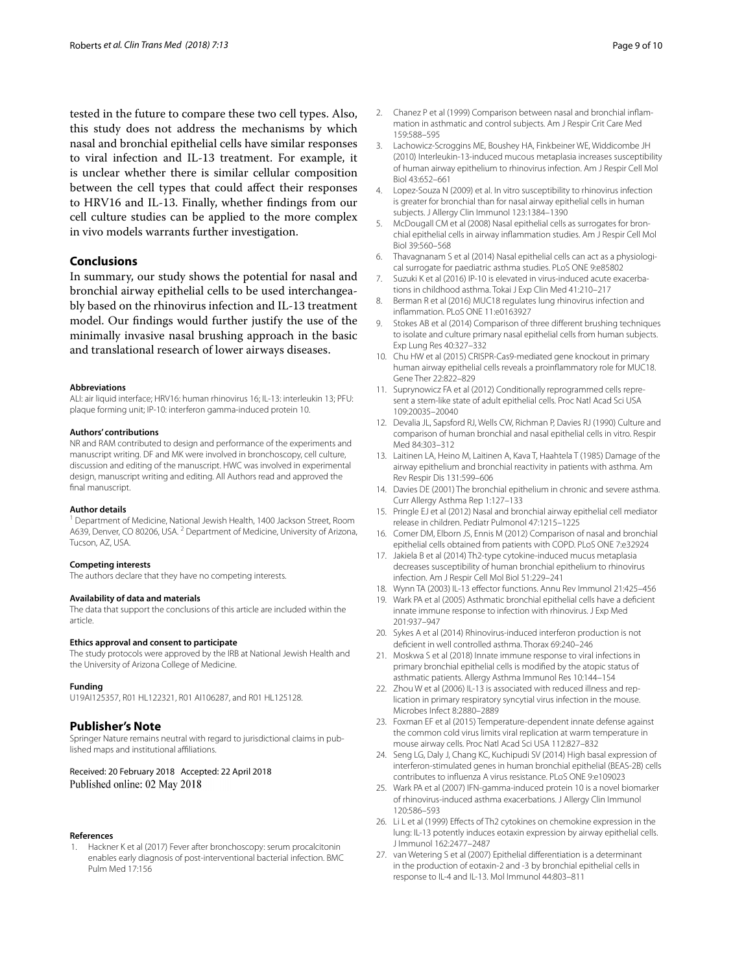tested in the future to compare these two cell types. Also, this study does not address the mechanisms by which nasal and bronchial epithelial cells have similar responses to viral infection and IL-13 treatment. For example, it is unclear whether there is similar cellular composition between the cell types that could afect their responses to HRV16 and IL-13. Finally, whether fndings from our cell culture studies can be applied to the more complex in vivo models warrants further investigation.

## **Conclusions**

In summary, our study shows the potential for nasal and bronchial airway epithelial cells to be used interchangeably based on the rhinovirus infection and IL-13 treatment model. Our fndings would further justify the use of the minimally invasive nasal brushing approach in the basic and translational research of lower airways diseases.

#### **Abbreviations**

ALI: air liquid interface; HRV16: human rhinovirus 16; IL-13: interleukin 13; PFU: plaque forming unit; IP-10: interferon gamma-induced protein 10.

#### **Authors' contributions**

NR and RAM contributed to design and performance of the experiments and manuscript writing. DF and MK were involved in bronchoscopy, cell culture, discussion and editing of the manuscript. HWC was involved in experimental design, manuscript writing and editing. All Authors read and approved the final manuscript.

## **Author details**

<sup>1</sup> Department of Medicine, National Jewish Health, 1400 Jackson Street, Room A639, Denver, CO 80206, USA. <sup>2</sup> Department of Medicine, University of Arizona, Tucson, AZ, USA.

#### **Competing interests**

The authors declare that they have no competing interests.

### **Availability of data and materials**

The data that support the conclusions of this article are included within the article.

## **Ethics approval and consent to participate**

The study protocols were approved by the IRB at National Jewish Health and the University of Arizona College of Medicine.

#### **Funding**

U19AI125357, R01 HL122321, R01 AI106287, and R01 HL125128.

#### **Publisher's Note**

Springer Nature remains neutral with regard to jurisdictional claims in published maps and institutional afliations.

## Received: 20 February 2018 Accepted: 22 April 2018 Published online: 02 May 2018

#### **References**

<span id="page-8-0"></span>1. Hackner K et al (2017) Fever after bronchoscopy: serum procalcitonin enables early diagnosis of post-interventional bacterial infection. BMC Pulm Med 17:156

- <span id="page-8-1"></span>2. Chanez P et al (1999) Comparison between nasal and bronchial infammation in asthmatic and control subjects. Am J Respir Crit Care Med 159:588–595
- <span id="page-8-2"></span>3. Lachowicz-Scroggins ME, Boushey HA, Finkbeiner WE, Widdicombe JH (2010) Interleukin-13-induced mucous metaplasia increases susceptibility of human airway epithelium to rhinovirus infection. Am J Respir Cell Mol Biol 43:652–661
- <span id="page-8-3"></span>4. Lopez-Souza N (2009) et al. In vitro susceptibility to rhinovirus infection is greater for bronchial than for nasal airway epithelial cells in human subjects. J Allergy Clin Immunol 123:1384–1390
- <span id="page-8-4"></span>5. McDougall CM et al (2008) Nasal epithelial cells as surrogates for bronchial epithelial cells in airway infammation studies. Am J Respir Cell Mol Biol 39:560–568
- <span id="page-8-5"></span>6. Thavagnanam S et al (2014) Nasal epithelial cells can act as a physiological surrogate for paediatric asthma studies. PLoS ONE 9:e85802
- <span id="page-8-6"></span>7. Suzuki K et al (2016) IP-10 is elevated in virus-induced acute exacerbations in childhood asthma. Tokai J Exp Clin Med 41:210–217
- <span id="page-8-7"></span>8. Berman R et al (2016) MUC18 regulates lung rhinovirus infection and infammation. PLoS ONE 11:e0163927
- <span id="page-8-8"></span>9. Stokes AB et al (2014) Comparison of three diferent brushing techniques to isolate and culture primary nasal epithelial cells from human subjects. Exp Lung Res 40:327–332
- <span id="page-8-9"></span>10. Chu HW et al (2015) CRISPR-Cas9-mediated gene knockout in primary human airway epithelial cells reveals a proinfammatory role for MUC18. Gene Ther 22:822–829
- <span id="page-8-10"></span>11. Suprynowicz FA et al (2012) Conditionally reprogrammed cells represent a stem-like state of adult epithelial cells. Proc Natl Acad Sci USA 109:20035–20040
- <span id="page-8-11"></span>12. Devalia JL, Sapsford RJ, Wells CW, Richman P, Davies RJ (1990) Culture and comparison of human bronchial and nasal epithelial cells in vitro. Respir Med 84:303–312
- <span id="page-8-12"></span>13. Laitinen LA, Heino M, Laitinen A, Kava T, Haahtela T (1985) Damage of the airway epithelium and bronchial reactivity in patients with asthma. Am Rev Respir Dis 131:599–606
- <span id="page-8-13"></span>14. Davies DE (2001) The bronchial epithelium in chronic and severe asthma. Curr Allergy Asthma Rep 1:127–133
- <span id="page-8-14"></span>15. Pringle EJ et al (2012) Nasal and bronchial airway epithelial cell mediator release in children. Pediatr Pulmonol 47:1215–1225
- <span id="page-8-15"></span>16. Comer DM, Elborn JS, Ennis M (2012) Comparison of nasal and bronchial epithelial cells obtained from patients with COPD. PLoS ONE 7:e32924
- <span id="page-8-16"></span>17. Jakiela B et al (2014) Th2-type cytokine-induced mucus metaplasia decreases susceptibility of human bronchial epithelium to rhinovirus infection. Am J Respir Cell Mol Biol 51:229–241
- <span id="page-8-17"></span>18. Wynn TA (2003) IL-13 efector functions. Annu Rev Immunol 21:425–456
- <span id="page-8-18"></span>19. Wark PA et al (2005) Asthmatic bronchial epithelial cells have a defcient innate immune response to infection with rhinovirus. J Exp Med 201:937–947
- <span id="page-8-19"></span>20. Sykes A et al (2014) Rhinovirus-induced interferon production is not defcient in well controlled asthma. Thorax 69:240–246
- <span id="page-8-20"></span>21. Moskwa S et al (2018) Innate immune response to viral infections in primary bronchial epithelial cells is modifed by the atopic status of asthmatic patients. Allergy Asthma Immunol Res 10:144–154
- <span id="page-8-21"></span>22. Zhou W et al (2006) IL-13 is associated with reduced illness and replication in primary respiratory syncytial virus infection in the mouse. Microbes Infect 8:2880–2889
- <span id="page-8-22"></span>23. Foxman EF et al (2015) Temperature-dependent innate defense against the common cold virus limits viral replication at warm temperature in mouse airway cells. Proc Natl Acad Sci USA 112:827–832
- <span id="page-8-23"></span>24. Seng LG, Daly J, Chang KC, Kuchipudi SV (2014) High basal expression of interferon-stimulated genes in human bronchial epithelial (BEAS-2B) cells contributes to infuenza A virus resistance. PLoS ONE 9:e109023
- <span id="page-8-24"></span>25. Wark PA et al (2007) IFN-gamma-induced protein 10 is a novel biomarker of rhinovirus-induced asthma exacerbations. J Allergy Clin Immunol 120:586–593
- <span id="page-8-25"></span>26. Li L et al (1999) Effects of Th2 cytokines on chemokine expression in the lung: IL-13 potently induces eotaxin expression by airway epithelial cells. J Immunol 162:2477–2487
- <span id="page-8-26"></span>27. van Wetering S et al (2007) Epithelial diferentiation is a determinant in the production of eotaxin-2 and -3 by bronchial epithelial cells in response to IL-4 and IL-13. Mol Immunol 44:803–811